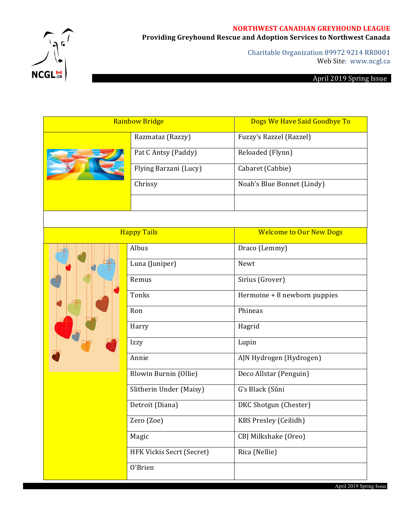### **NORTHWEST CANADIAN GREYHOUND LEAGUE**



Providing Greyhound Rescue and Adoption Services to Northwest Canada

Charitable Organization 89972 9214 RR0001 Web Site: www.ncgl.ca

# April 2019 Spring Issue

| <b>Rainbow Bridge</b> |                       | Dogs We Have Said Goodbye To |  |
|-----------------------|-----------------------|------------------------------|--|
|                       | Razmataz (Razzy)      | Fuzzy's Razzel (Razzel)      |  |
|                       | Pat C Antsy (Paddy)   | Reloaded (Flynn)             |  |
|                       | Flying Barzani (Lucy) | Cabaret (Cabbie)             |  |
|                       | Chrissy               | Noah's Blue Bonnet (Lindy)   |  |
|                       |                       |                              |  |

| <b>Happy Tails</b> |                           | <b>Welcome to Our New Dogs</b> |
|--------------------|---------------------------|--------------------------------|
|                    | Albus                     | Draco (Lemmy)                  |
|                    | Luna (Juniper)            | Newt                           |
|                    | Remus                     | Sirius (Grover)                |
|                    | Tonks                     | Hermoine + 8 newborn puppies   |
|                    | Ron                       | Phineas                        |
|                    | Harry                     | Hagrid                         |
|                    | Izzy                      | Lupin                          |
|                    | Annie                     | AJN Hydrogen (Hydrogen)        |
|                    | Blowin Burnin (Ollie)     | Deco Allstar (Penguin)         |
|                    | Slitherin Under (Maisy)   | G's Black (Sũni                |
|                    | Detroit (Diana)           | DKC Shotgun (Chester)          |
|                    | Zero (Zoe)                | KBS Presley (Ceilidh)          |
|                    | Magic                     | CBJ Milkshake (Oreo)           |
|                    | HFK Vickis Secrt (Secret) | Rica (Nellie)                  |
|                    | O'Brien                   |                                |

April 2019 Spring Issue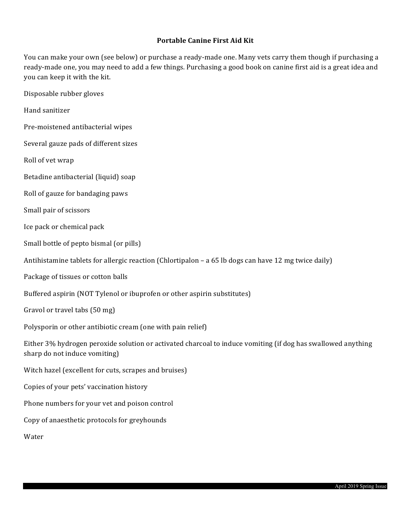### **Portable Canine First Aid Kit**

You can make your own (see below) or purchase a ready-made one. Many vets carry them though if purchasing a ready-made one, you may need to add a few things. Purchasing a good book on canine first aid is a great idea and you can keep it with the kit.

Disposable rubber gloves

Hand sanitizer

Pre-moistened antibacterial wipes

Several gauze pads of different sizes

Roll of vet wrap

Betadine antibacterial (liquid) soap

Roll of gauze for bandaging paws

Small pair of scissors

Ice pack or chemical pack

Small bottle of pepto bismal (or pills)

Antihistamine tablets for allergic reaction (Chlortipalon – a 65 lb dogs can have 12 mg twice daily)

Package of tissues or cotton balls

Buffered aspirin (NOT Tylenol or ibuprofen or other aspirin substitutes)

Gravol or travel tabs (50 mg)

Polysporin or other antibiotic cream (one with pain relief)

Either 3% hydrogen peroxide solution or activated charcoal to induce vomiting (if dog has swallowed anything sharp do not induce vomiting)

Witch hazel (excellent for cuts, scrapes and bruises)

Copies of your pets' vaccination history

Phone numbers for your vet and poison control

Copy of anaesthetic protocols for greyhounds

Water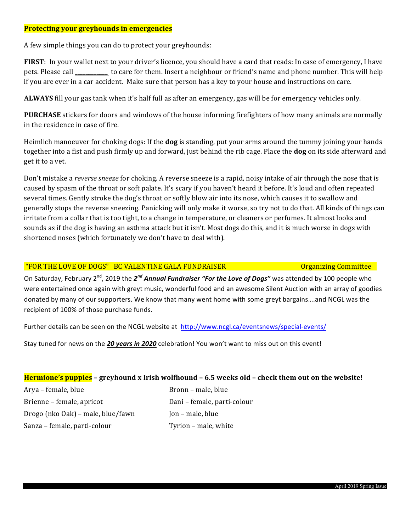#### **Protecting your greyhounds in emergencies**

A few simple things you can do to protect your greyhounds:

**FIRST**: In your wallet next to your driver's licence, you should have a card that reads: In case of emergency, I have pets. Please call \_\_\_\_\_\_\_\_\_\_\_ to care for them. Insert a neighbour or friend's name and phone number. This will help if you are ever in a car accident. Make sure that person has a key to your house and instructions on care.

**ALWAYS** fill your gas tank when it's half full as after an emergency, gas will be for emergency vehicles only.

**PURCHASE** stickers for doors and windows of the house informing firefighters of how many animals are normally in the residence in case of fire.

Heimlich manoeuver for choking dogs: If the **dog** is standing, put your arms around the tummy joining your hands together into a fist and push firmly up and forward, just behind the rib cage. Place the **dog** on its side afterward and get it to a vet.

Don't mistake a *reverse sneeze* for choking. A reverse sneeze is a rapid, noisy intake of air through the nose that is caused by spasm of the throat or soft palate. It's scary if you haven't heard it before. It's loud and often repeated several times. Gently stroke the dog's throat or softly blow air into its nose, which causes it to swallow and generally stops the reverse sneezing. Panicking will only make it worse, so try not to do that. All kinds of things can irritate from a collar that is too tight, to a change in temperature, or cleaners or perfumes. It almost looks and sounds as if the dog is having an asthma attack but it isn't. Most dogs do this, and it is much worse in dogs with shortened noses (which fortunately we don't have to deal with).

### "FOR THE LOVE OF DOGS" BC VALENTINE GALA FUNDRAISER COMMITTED DEGALLATING Committee

On Saturday, February 2<sup>nd</sup>, 2019 the 2<sup>nd</sup> Annual Fundraiser "For the Love of Dogs" was attended by 100 people who were entertained once again with greyt music, wonderful food and an awesome Silent Auction with an array of goodies donated by many of our supporters. We know that many went home with some greyt bargains....and NCGL was the recipient of 100% of those purchase funds.

Further details can be seen on the NCGL website at http://www.ncgl.ca/eventsnews/special-events/

Stay tuned for news on the 20 years in 2020 celebration! You won't want to miss out on this event!

### **Hermione's puppies** – greyhound x Irish wolfhound – 6.5 weeks old – check them out on the website!

Arya – female, blue Bronn – male, blue Brienne – female, apricot Dani – female, parti-colour  $Drogo (nko 0ak) - male, blue/fawn$  Jon – male, blue Sanza – female, parti-colour Tyrion – male, white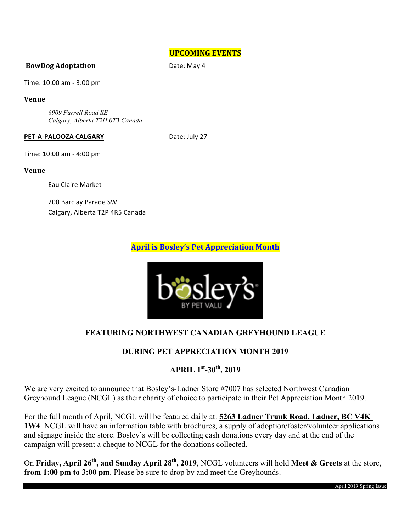### **UPCOMING EVENTS**

#### **BowDog Adoptathon** Date: May 4

Time: 10:00 am - 3:00 pm

#### **Venue**

*6909 Farrell Road SE Calgary, Alberta T2H 0T3 Canada*

#### **PET-A-PALOOZA CALGARY** Date: July 27

Time: 10:00 am - 4:00 pm

#### **Venue**

Eau Claire Market 

200 Barclay Parade SW Calgary, Alberta T2P 4R5 Canada

## **April is Bosley's Pet Appreciation Month**



## **FEATURING NORTHWEST CANADIAN GREYHOUND LEAGUE**

## **DURING PET APPRECIATION MONTH 2019**

## **APRIL 1st-30th, 2019**

We are very excited to announce that Bosley's-Ladner Store #7007 has selected Northwest Canadian Greyhound League (NCGL) as their charity of choice to participate in their Pet Appreciation Month 2019.

For the full month of April, NCGL will be featured daily at: **5263 Ladner Trunk Road, Ladner, BC V4K 1W4**. NCGL will have an information table with brochures, a supply of adoption/foster/volunteer applications and signage inside the store. Bosley's will be collecting cash donations every day and at the end of the campaign will present a cheque to NCGL for the donations collected.

On **Friday, April 26th, and Sunday April 28th, 2019**, NCGL volunteers will hold **Meet & Greets** at the store, **from 1:00 pm to 3:00 pm**. Please be sure to drop by and meet the Greyhounds.

April 2019 Spring Issue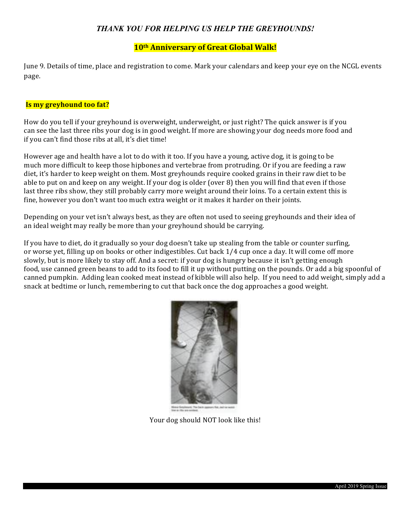## *THANK YOU FOR HELPING US HELP THE GREYHOUNDS!*

### **10th Anniversary of Great Global Walk!**

June 9. Details of time, place and registration to come. Mark your calendars and keep your eye on the NCGL events page. 

### **Is my greyhound too fat?**

How do you tell if your greyhound is overweight, underweight, or just right? The quick answer is if you can see the last three ribs your dog is in good weight. If more are showing your dog needs more food and if you can't find those ribs at all, it's diet time!

However age and health have a lot to do with it too. If you have a young, active dog, it is going to be much more difficult to keep those hipbones and vertebrae from protruding. Or if you are feeding a raw diet, it's harder to keep weight on them. Most greyhounds require cooked grains in their raw diet to be able to put on and keep on any weight. If your dog is older (over  $\theta$ ) then you will find that even if those last three ribs show, they still probably carry more weight around their loins. To a certain extent this is fine, however you don't want too much extra weight or it makes it harder on their joints.

Depending on your vet isn't always best, as they are often not used to seeing greyhounds and their idea of an ideal weight may really be more than your greyhound should be carrying.

If you have to diet, do it gradually so your dog doesn't take up stealing from the table or counter surfing, or worse yet, filling up on books or other indigestibles. Cut back 1/4 cup once a day. It will come off more slowly, but is more likely to stay off. And a secret: if your dog is hungry because it isn't getting enough food, use canned green beans to add to its food to fill it up without putting on the pounds. Or add a big spoonful of canned pumpkin. Adding lean cooked meat instead of kibble will also help. If you need to add weight, simply add a snack at bedtime or lunch, remembering to cut that back once the dog approaches a good weight.



Your dog should NOT look like this!